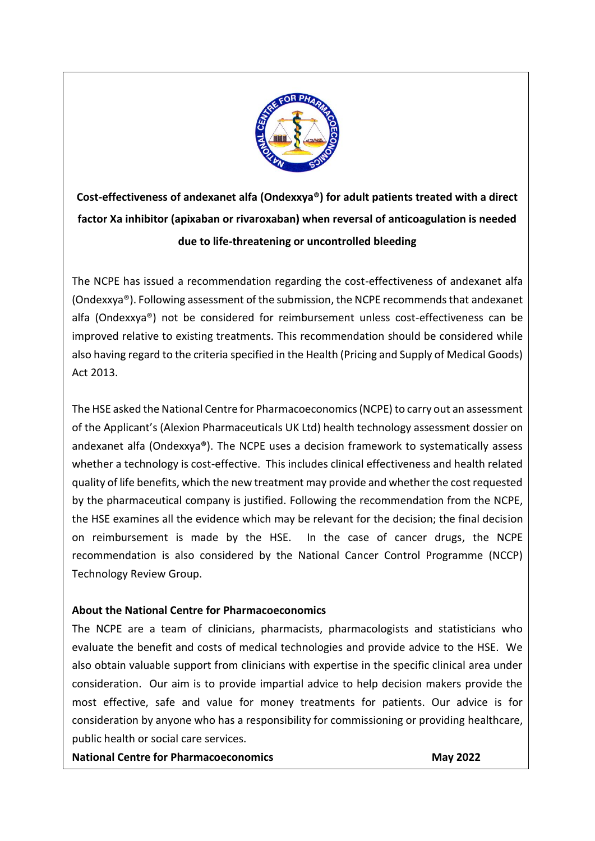

**Cost-effectiveness of andexanet alfa (Ondexxya®) for adult patients treated with a direct factor Xa inhibitor (apixaban or rivaroxaban) when reversal of anticoagulation is needed due to life-threatening or uncontrolled bleeding**

The NCPE has issued a recommendation regarding the cost-effectiveness of andexanet alfa (Ondexxya®). Following assessment of the submission, the NCPE recommends that andexanet alfa (Ondexxya®) not be considered for reimbursement unless cost-effectiveness can be improved relative to existing treatments. This recommendation should be considered while also having regard to the criteria specified in the Health (Pricing and Supply of Medical Goods) Act 2013.

The HSE asked the National Centre for Pharmacoeconomics (NCPE) to carry out an assessment of the Applicant's (Alexion Pharmaceuticals UK Ltd) health technology assessment dossier on andexanet alfa (Ondexxya®). The NCPE uses a decision framework to systematically assess whether a technology is cost-effective. This includes clinical effectiveness and health related quality of life benefits, which the new treatment may provide and whether the cost requested by the pharmaceutical company is justified. Following the recommendation from the NCPE, the HSE examines all the evidence which may be relevant for the decision; the final decision on reimbursement is made by the HSE. In the case of cancer drugs, the NCPE recommendation is also considered by the National Cancer Control Programme (NCCP) Technology Review Group.

# **About the National Centre for Pharmacoeconomics**

The NCPE are a team of clinicians, pharmacists, pharmacologists and statisticians who evaluate the benefit and costs of medical technologies and provide advice to the HSE. We also obtain valuable support from clinicians with expertise in the specific clinical area under consideration. Our aim is to provide impartial advice to help decision makers provide the most effective, safe and value for money treatments for patients. Our advice is for consideration by anyone who has a responsibility for commissioning or providing healthcare, public health or social care services.

**National Centre for Pharmacoeconomics May 2022**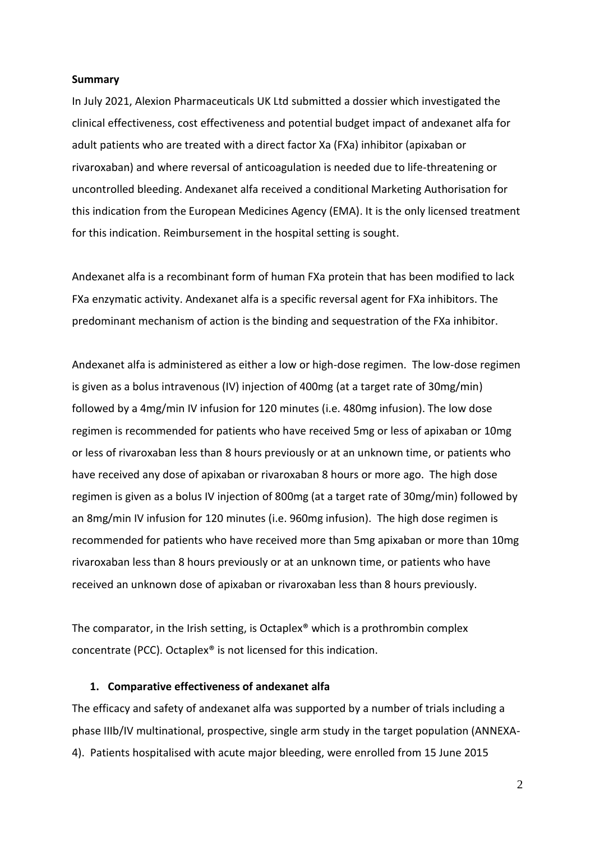#### **Summary**

In July 2021, Alexion Pharmaceuticals UK Ltd submitted a dossier which investigated the clinical effectiveness, cost effectiveness and potential budget impact of andexanet alfa for adult patients who are treated with a direct factor Xa (FXa) inhibitor (apixaban or rivaroxaban) and where reversal of anticoagulation is needed due to life-threatening or uncontrolled bleeding. Andexanet alfa received a conditional Marketing Authorisation for this indication from the European Medicines Agency (EMA). It is the only licensed treatment for this indication. Reimbursement in the hospital setting is sought.

Andexanet alfa is a recombinant form of human FXa protein that has been modified to lack FXa enzymatic activity. Andexanet alfa is a specific reversal agent for FXa inhibitors. The predominant mechanism of action is the binding and sequestration of the FXa inhibitor.

Andexanet alfa is administered as either a low or high-dose regimen. The low-dose regimen is given as a bolus intravenous (IV) injection of 400mg (at a target rate of 30mg/min) followed by a 4mg/min IV infusion for 120 minutes (i.e. 480mg infusion). The low dose regimen is recommended for patients who have received 5mg or less of apixaban or 10mg or less of rivaroxaban less than 8 hours previously or at an unknown time, or patients who have received any dose of apixaban or rivaroxaban 8 hours or more ago. The high dose regimen is given as a bolus IV injection of 800mg (at a target rate of 30mg/min) followed by an 8mg/min IV infusion for 120 minutes (i.e. 960mg infusion). The high dose regimen is recommended for patients who have received more than 5mg apixaban or more than 10mg rivaroxaban less than 8 hours previously or at an unknown time, or patients who have received an unknown dose of apixaban or rivaroxaban less than 8 hours previously.

The comparator, in the Irish setting, is Octaplex® which is a prothrombin complex concentrate (PCC). Octaplex® is not licensed for this indication.

#### **1. Comparative effectiveness of andexanet alfa**

The efficacy and safety of andexanet alfa was supported by a number of trials including a phase IIIb/IV multinational, prospective, single arm study in the target population (ANNEXA-4). Patients hospitalised with acute major bleeding, were enrolled from 15 June 2015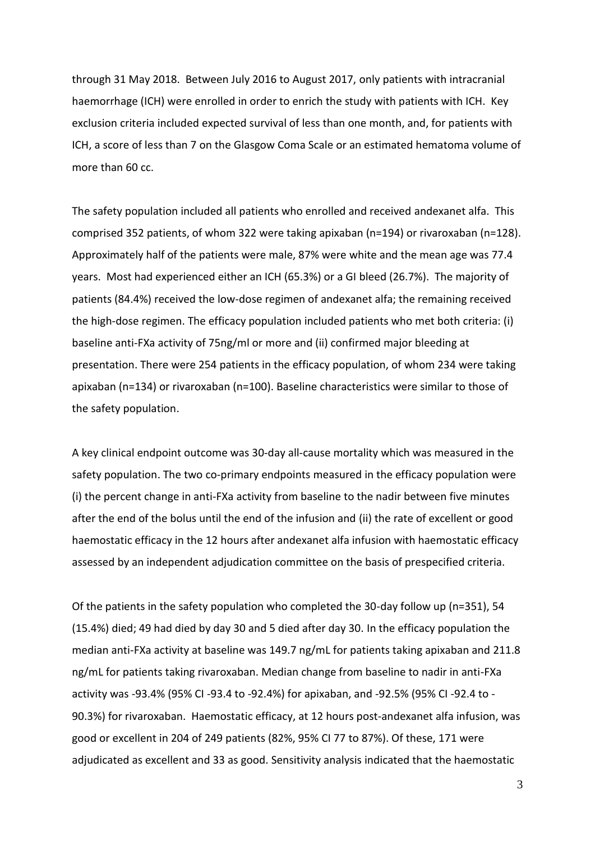through 31 May 2018. Between July 2016 to August 2017, only patients with intracranial haemorrhage (ICH) were enrolled in order to enrich the study with patients with ICH. Key exclusion criteria included expected survival of less than one month, and, for patients with ICH, a score of less than 7 on the Glasgow Coma Scale or an estimated hematoma volume of more than 60 cc.

The safety population included all patients who enrolled and received andexanet alfa. This comprised 352 patients, of whom 322 were taking apixaban (n=194) or rivaroxaban (n=128). Approximately half of the patients were male, 87% were white and the mean age was 77.4 years. Most had experienced either an ICH (65.3%) or a GI bleed (26.7%). The majority of patients (84.4%) received the low-dose regimen of andexanet alfa; the remaining received the high-dose regimen. The efficacy population included patients who met both criteria: (i) baseline anti-FXa activity of 75ng/ml or more and (ii) confirmed major bleeding at presentation. There were 254 patients in the efficacy population, of whom 234 were taking apixaban (n=134) or rivaroxaban (n=100). Baseline characteristics were similar to those of the safety population.

A key clinical endpoint outcome was 30-day all-cause mortality which was measured in the safety population. The two co-primary endpoints measured in the efficacy population were (i) the percent change in anti-FXa activity from baseline to the nadir between five minutes after the end of the bolus until the end of the infusion and (ii) the rate of excellent or good haemostatic efficacy in the 12 hours after andexanet alfa infusion with haemostatic efficacy assessed by an independent adjudication committee on the basis of prespecified criteria.

Of the patients in the safety population who completed the 30-day follow up (n=351), 54 (15.4%) died; 49 had died by day 30 and 5 died after day 30. In the efficacy population the median anti-FXa activity at baseline was 149.7 ng/mL for patients taking apixaban and 211.8 ng/mL for patients taking rivaroxaban. Median change from baseline to nadir in anti-FXa activity was -93.4% (95% CI -93.4 to -92.4%) for apixaban, and -92.5% (95% CI -92.4 to - 90.3%) for rivaroxaban. Haemostatic efficacy, at 12 hours post-andexanet alfa infusion, was good or excellent in 204 of 249 patients (82%, 95% CI 77 to 87%). Of these, 171 were adjudicated as excellent and 33 as good. Sensitivity analysis indicated that the haemostatic

3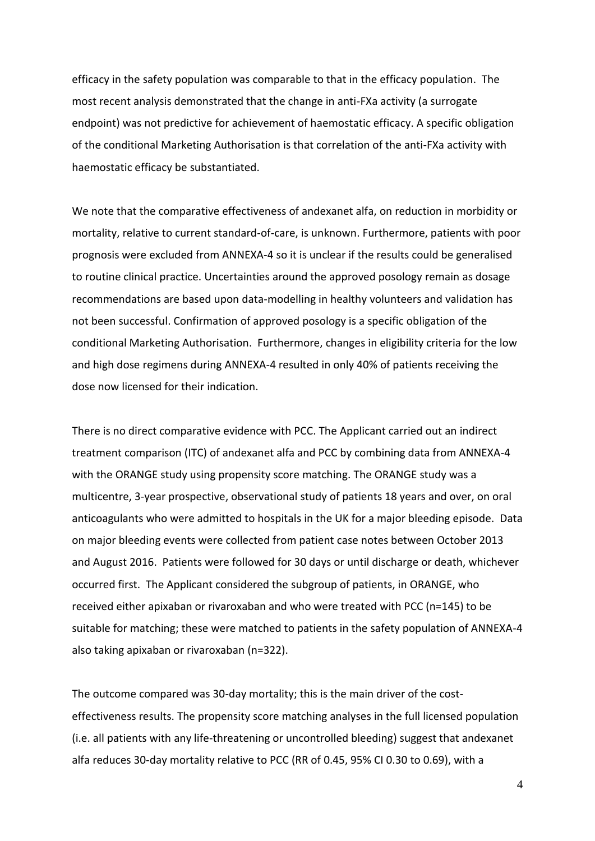efficacy in the safety population was comparable to that in the efficacy population. The most recent analysis demonstrated that the change in anti-FXa activity (a surrogate endpoint) was not predictive for achievement of haemostatic efficacy. A specific obligation of the conditional Marketing Authorisation is that correlation of the anti-FXa activity with haemostatic efficacy be substantiated.

We note that the comparative effectiveness of andexanet alfa, on reduction in morbidity or mortality, relative to current standard-of-care, is unknown. Furthermore, patients with poor prognosis were excluded from ANNEXA-4 so it is unclear if the results could be generalised to routine clinical practice. Uncertainties around the approved posology remain as dosage recommendations are based upon data-modelling in healthy volunteers and validation has not been successful. Confirmation of approved posology is a specific obligation of the conditional Marketing Authorisation. Furthermore, changes in eligibility criteria for the low and high dose regimens during ANNEXA-4 resulted in only 40% of patients receiving the dose now licensed for their indication.

There is no direct comparative evidence with PCC. The Applicant carried out an indirect treatment comparison (ITC) of andexanet alfa and PCC by combining data from ANNEXA-4 with the ORANGE study using propensity score matching. The ORANGE study was a multicentre, 3-year prospective, observational study of patients 18 years and over, on oral anticoagulants who were admitted to hospitals in the UK for a major bleeding episode. Data on major bleeding events were collected from patient case notes between October 2013 and August 2016. Patients were followed for 30 days or until discharge or death, whichever occurred first. The Applicant considered the subgroup of patients, in ORANGE, who received either apixaban or rivaroxaban and who were treated with PCC (n=145) to be suitable for matching; these were matched to patients in the safety population of ANNEXA-4 also taking apixaban or rivaroxaban (n=322).

The outcome compared was 30-day mortality; this is the main driver of the costeffectiveness results. The propensity score matching analyses in the full licensed population (i.e. all patients with any life-threatening or uncontrolled bleeding) suggest that andexanet alfa reduces 30-day mortality relative to PCC (RR of 0.45, 95% CI 0.30 to 0.69), with a

4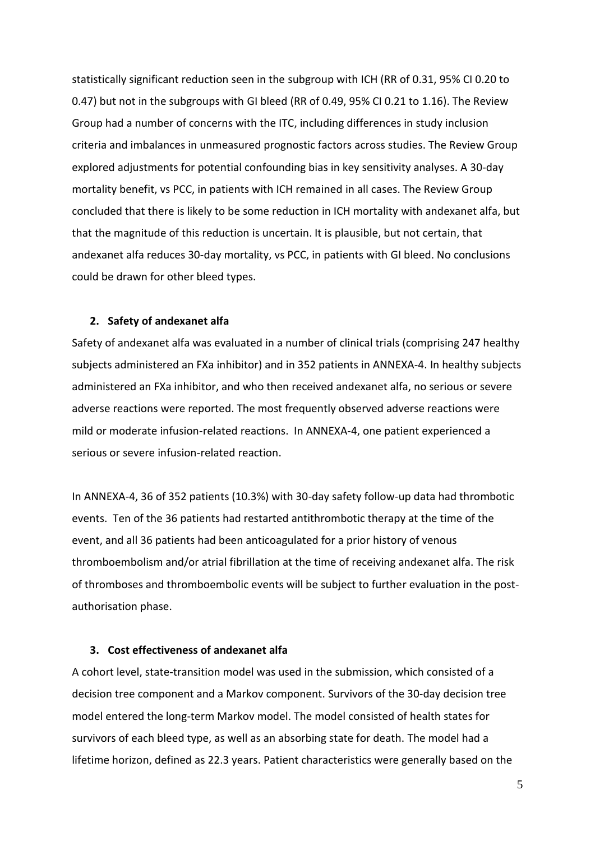statistically significant reduction seen in the subgroup with ICH (RR of 0.31, 95% CI 0.20 to 0.47) but not in the subgroups with GI bleed (RR of 0.49, 95% CI 0.21 to 1.16). The Review Group had a number of concerns with the ITC, including differences in study inclusion criteria and imbalances in unmeasured prognostic factors across studies. The Review Group explored adjustments for potential confounding bias in key sensitivity analyses. A 30-day mortality benefit, vs PCC, in patients with ICH remained in all cases. The Review Group concluded that there is likely to be some reduction in ICH mortality with andexanet alfa, but that the magnitude of this reduction is uncertain. It is plausible, but not certain, that andexanet alfa reduces 30-day mortality, vs PCC, in patients with GI bleed. No conclusions could be drawn for other bleed types.

#### **2. Safety of andexanet alfa**

Safety of andexanet alfa was evaluated in a number of clinical trials (comprising 247 healthy subjects administered an FXa inhibitor) and in 352 patients in ANNEXA-4. In healthy subjects administered an FXa inhibitor, and who then received andexanet alfa, no serious or severe adverse reactions were reported. The most frequently observed adverse reactions were mild or moderate infusion-related reactions. In ANNEXA-4, one patient experienced a serious or severe infusion-related reaction.

In ANNEXA-4, 36 of 352 patients (10.3%) with 30-day safety follow-up data had thrombotic events. Ten of the 36 patients had restarted antithrombotic therapy at the time of the event, and all 36 patients had been anticoagulated for a prior history of venous thromboembolism and/or atrial fibrillation at the time of receiving andexanet alfa. The risk of thromboses and thromboembolic events will be subject to further evaluation in the postauthorisation phase.

#### **3. Cost effectiveness of andexanet alfa**

A cohort level, state-transition model was used in the submission, which consisted of a decision tree component and a Markov component. Survivors of the 30-day decision tree model entered the long-term Markov model. The model consisted of health states for survivors of each bleed type, as well as an absorbing state for death. The model had a lifetime horizon, defined as 22.3 years. Patient characteristics were generally based on the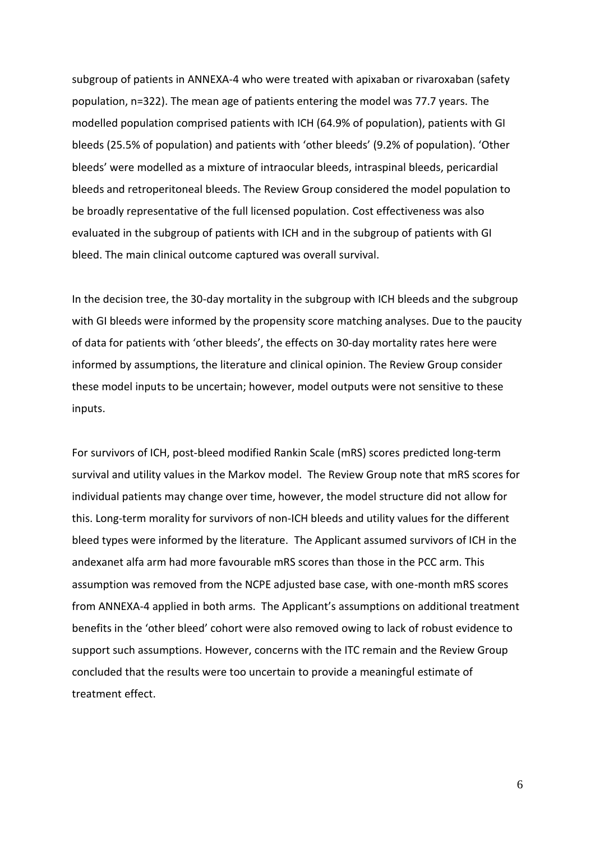subgroup of patients in ANNEXA-4 who were treated with apixaban or rivaroxaban (safety population, n=322). The mean age of patients entering the model was 77.7 years. The modelled population comprised patients with ICH (64.9% of population), patients with GI bleeds (25.5% of population) and patients with 'other bleeds' (9.2% of population). 'Other bleeds' were modelled as a mixture of intraocular bleeds, intraspinal bleeds, pericardial bleeds and retroperitoneal bleeds. The Review Group considered the model population to be broadly representative of the full licensed population. Cost effectiveness was also evaluated in the subgroup of patients with ICH and in the subgroup of patients with GI bleed. The main clinical outcome captured was overall survival.

In the decision tree, the 30-day mortality in the subgroup with ICH bleeds and the subgroup with GI bleeds were informed by the propensity score matching analyses. Due to the paucity of data for patients with 'other bleeds', the effects on 30-day mortality rates here were informed by assumptions, the literature and clinical opinion. The Review Group consider these model inputs to be uncertain; however, model outputs were not sensitive to these inputs.

For survivors of ICH, post-bleed modified Rankin Scale (mRS) scores predicted long-term survival and utility values in the Markov model. The Review Group note that mRS scores for individual patients may change over time, however, the model structure did not allow for this. Long-term morality for survivors of non-ICH bleeds and utility values for the different bleed types were informed by the literature. The Applicant assumed survivors of ICH in the andexanet alfa arm had more favourable mRS scores than those in the PCC arm. This assumption was removed from the NCPE adjusted base case, with one-month mRS scores from ANNEXA-4 applied in both arms. The Applicant's assumptions on additional treatment benefits in the 'other bleed' cohort were also removed owing to lack of robust evidence to support such assumptions. However, concerns with the ITC remain and the Review Group concluded that the results were too uncertain to provide a meaningful estimate of treatment effect.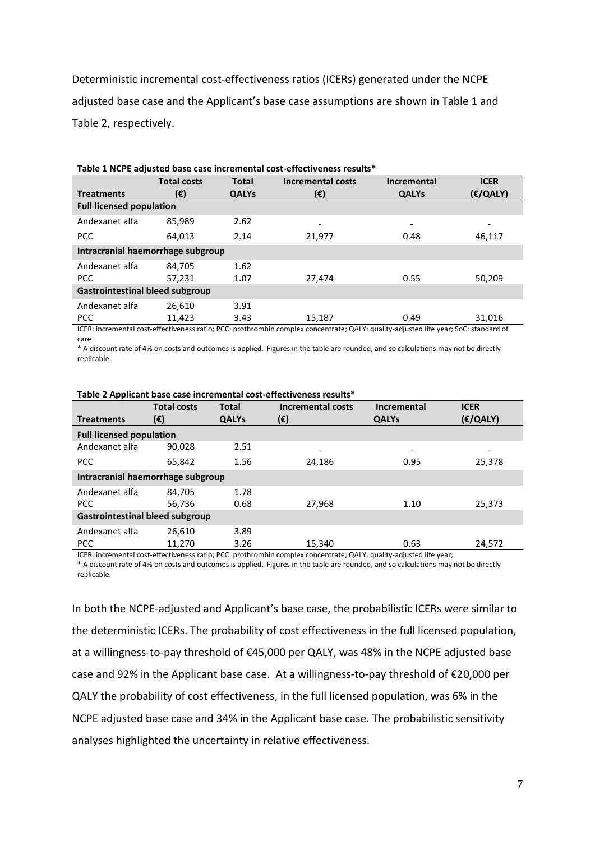Deterministic incremental cost-effectiveness ratios (ICERs) generated under the NCPE adjusted base case and the Applicant's base case assumptions are shown in Table 1 and Table 2, respectively.

|                                        | <b>Total costs</b> | <b>Total</b> | <b>Incremental costs</b> | <b>Incremental</b> | <b>ICER</b>              |  |  |  |
|----------------------------------------|--------------------|--------------|--------------------------|--------------------|--------------------------|--|--|--|
| <b>Treatments</b>                      | (€)                | <b>QALYs</b> | (€)                      | <b>QALYs</b>       | E/QALY)                  |  |  |  |
| <b>Full licensed population</b>        |                    |              |                          |                    |                          |  |  |  |
| Andexanet alfa                         | 85.989             | 2.62         | ۰                        | -                  | $\overline{\phantom{a}}$ |  |  |  |
| <b>PCC</b>                             | 64,013             | 2.14         | 21,977                   | 0.48               | 46,117                   |  |  |  |
| Intracranial haemorrhage subgroup      |                    |              |                          |                    |                          |  |  |  |
| Andexanet alfa                         | 84.705             | 1.62         |                          |                    |                          |  |  |  |
| <b>PCC</b>                             | 57,231             | 1.07         | 27,474                   | 0.55               | 50,209                   |  |  |  |
| <b>Gastrointestinal bleed subgroup</b> |                    |              |                          |                    |                          |  |  |  |
| Andexanet alfa                         | 26.610             | 3.91         |                          |                    |                          |  |  |  |
| <b>PCC</b>                             | 11,423             | 3.43         | 15,187                   | 0.49               | 31,016                   |  |  |  |

**Table 1 NCPE adjusted base case incremental cost-effectiveness results\***

ICER: incremental cost-effectiveness ratio; PCC: prothrombin complex concentrate; QALY: quality-adjusted life year; SoC: standard of care

\* A discount rate of 4% on costs and outcomes is applied. Figures in the table are rounded, and so calculations may not be directly replicable.

| <b>Treatments</b>                      | <b>Total costs</b><br>(€) | <b>Total</b><br><b>QALYs</b> | <b>Incremental costs</b><br>(€) | <b>Incremental</b><br><b>QALYs</b> | <b>ICER</b><br>E(QALY) |  |  |  |
|----------------------------------------|---------------------------|------------------------------|---------------------------------|------------------------------------|------------------------|--|--|--|
|                                        |                           |                              |                                 |                                    |                        |  |  |  |
| <b>Full licensed population</b>        |                           |                              |                                 |                                    |                        |  |  |  |
| Andexanet alfa                         | 90,028                    | 2.51                         |                                 | $\overline{\phantom{a}}$           |                        |  |  |  |
| <b>PCC</b>                             | 65.842                    | 1.56                         | 24.186                          | 0.95                               | 25,378                 |  |  |  |
| Intracranial haemorrhage subgroup      |                           |                              |                                 |                                    |                        |  |  |  |
| Andexanet alfa                         | 84,705                    | 1.78                         |                                 |                                    |                        |  |  |  |
| <b>PCC</b>                             | 56.736                    | 0.68                         | 27,968                          | 1.10                               | 25,373                 |  |  |  |
| <b>Gastrointestinal bleed subgroup</b> |                           |                              |                                 |                                    |                        |  |  |  |
| Andexanet alfa                         | 26.610                    | 3.89                         |                                 |                                    |                        |  |  |  |
| <b>PCC</b>                             | 11,270                    | 3.26                         | 15,340                          | 0.63                               | 24,572                 |  |  |  |

**Table 2 Applicant base case incremental cost-effectiveness results\***

ICER: incremental cost-effectiveness ratio; PCC: prothrombin complex concentrate; QALY: quality-adjusted life year; \* A discount rate of 4% on costs and outcomes is applied. Figures in the table are rounded, and so calculations may not be directly replicable.

In both the NCPE-adjusted and Applicant's base case, the probabilistic ICERs were similar to the deterministic ICERs. The probability of cost effectiveness in the full licensed population, at a willingness-to-pay threshold of €45,000 per QALY, was 48% in the NCPE adjusted base case and 92% in the Applicant base case. At a willingness-to-pay threshold of €20,000 per QALY the probability of cost effectiveness, in the full licensed population, was 6% in the NCPE adjusted base case and 34% in the Applicant base case. The probabilistic sensitivity analyses highlighted the uncertainty in relative effectiveness.